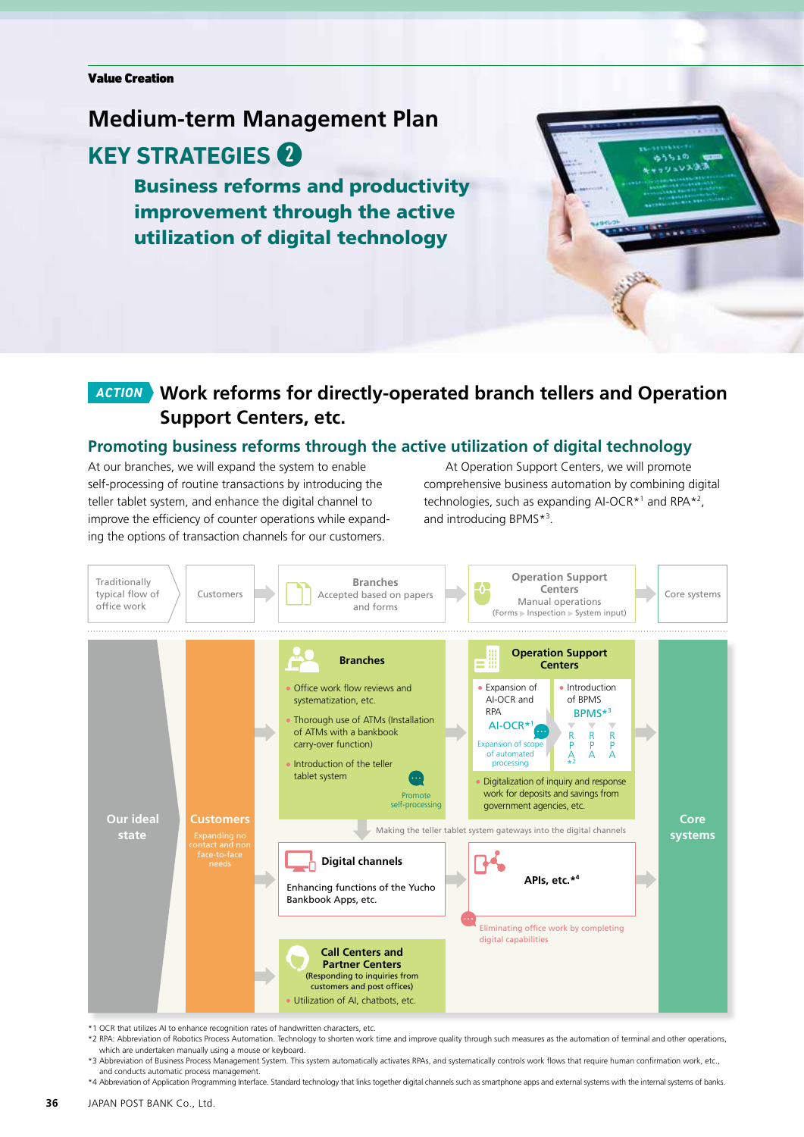# **Medium-term Management Plan KEY STRATEGIES**

Business reforms and productivity improvement through the active utilization of digital technology



## *ACTION* **Work reforms for directly-operated branch tellers and Operation Support Centers, etc.**

#### **Promoting business reforms through the active utilization of digital technology**

At our branches, we will expand the system to enable self-processing of routine transactions by introducing the teller tablet system, and enhance the digital channel to improve the efficiency of counter operations while expanding the options of transaction channels for our customers.

At Operation Support Centers, we will promote comprehensive business automation by combining digital technologies, such as expanding AI-OCR<sup>\*1</sup> and RPA<sup>\*2</sup>, and introducing BPMS\*3 .



\*1 OCR that utilizes AI to enhance recognition rates of handwritten characters, etc.

\*2 RPA: Abbreviation of Robotics Process Automation. Technology to shorten work time and improve quality through such measures as the automation of terminal and other operations, which are undertaken manually using a mouse or keyboard.

\*3 Abbreviation of Business Process Management System. This system automatically activates RPAs, and systematically controls work flows that require human confirmation work, etc., and conducts automatic process management.

\*4 Abbreviation of Application Programming Interface. Standard technology that links together digital channels such as smartphone apps and external systems with the internal systems of banks.